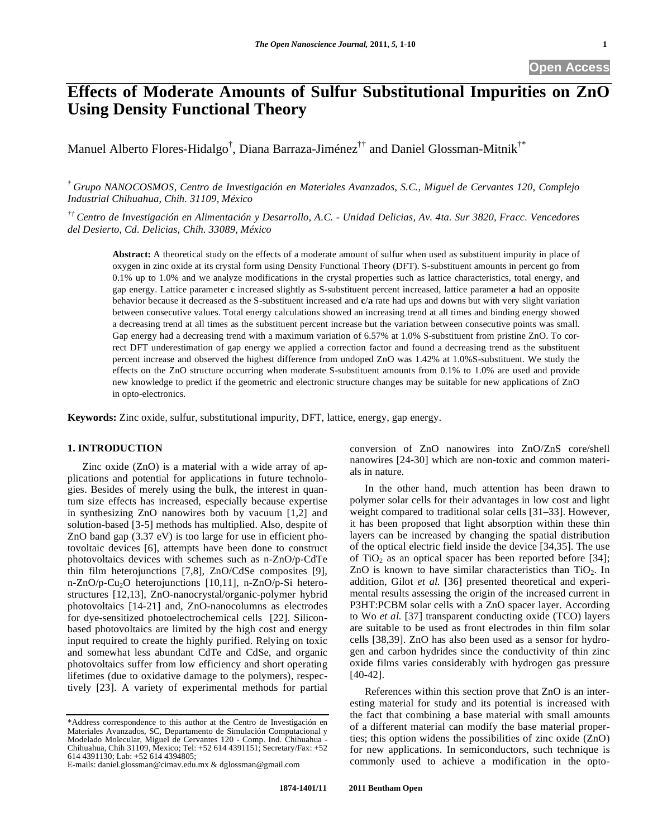**Open Access** 

# **Effects of Moderate Amounts of Sulfur Substitutional Impurities on ZnO Using Density Functional Theory**

Manuel Alberto Flores-Hidalgo<sup>†</sup>, Diana Barraza-Jiménez<sup>††</sup> and Daniel Glossman-Mitnik<sup>†\*</sup>

*† Grupo NANOCOSMOS, Centro de Investigación en Materiales Avanzados, S.C., Miguel de Cervantes 120, Complejo Industrial Chihuahua, Chih. 31109, México* 

*†† Centro de Investigación en Alimentación y Desarrollo, A.C. - Unidad Delicias, Av. 4ta. Sur 3820, Fracc. Vencedores del Desierto, Cd. Delicias, Chih. 33089, México* 

**Abstract:** A theoretical study on the effects of a moderate amount of sulfur when used as substituent impurity in place of oxygen in zinc oxide at its crystal form using Density Functional Theory (DFT). S-substituent amounts in percent go from 0.1% up to 1.0% and we analyze modifications in the crystal properties such as lattice characteristics, total energy, and gap energy. Lattice parameter **c** increased slightly as S-substituent percent increased, lattice parameter **a** had an opposite behavior because it decreased as the S-substituent increased and **c**/**a** rate had ups and downs but with very slight variation between consecutive values. Total energy calculations showed an increasing trend at all times and binding energy showed a decreasing trend at all times as the substituent percent increase but the variation between consecutive points was small. Gap energy had a decreasing trend with a maximum variation of 6.57% at 1.0% S-substituent from pristine ZnO. To correct DFT underestimation of gap energy we applied a correction factor and found a decreasing trend as the substituent percent increase and observed the highest difference from undoped ZnO was 1.42% at 1.0%S-substituent. We study the effects on the ZnO structure occurring when moderate S-substituent amounts from 0.1% to 1.0% are used and provide new knowledge to predict if the geometric and electronic structure changes may be suitable for new applications of ZnO in opto-electronics.

**Keywords:** Zinc oxide, sulfur, substitutional impurity, DFT, lattice, energy, gap energy.

# **1. INTRODUCTION**

Zinc oxide (ZnO) is a material with a wide array of applications and potential for applications in future technologies. Besides of merely using the bulk, the interest in quantum size effects has increased, especially because expertise in synthesizing ZnO nanowires both by vacuum [1,2] and solution-based [3-5] methods has multiplied. Also, despite of ZnO band gap (3.37 eV) is too large for use in efficient photovoltaic devices [6], attempts have been done to construct photovoltaics devices with schemes such as n-ZnO/p-CdTe thin film heterojunctions [7,8], ZnO/CdSe composites [9], n-ZnO/p-Cu<sub>2</sub>O heterojunctions [10,11], n-ZnO/p-Si heterostructures [12,13], ZnO-nanocrystal/organic-polymer hybrid photovoltaics [14-21] and, ZnO-nanocolumns as electrodes for dye-sensitized photoelectrochemical cells [22]. Siliconbased photovoltaics are limited by the high cost and energy input required to create the highly purified. Relying on toxic and somewhat less abundant CdTe and CdSe, and organic photovoltaics suffer from low efficiency and short operating lifetimes (due to oxidative damage to the polymers), respectively [23]. A variety of experimental methods for partial

\*Address correspondence to this author at the Centro de Investigación en Materiales Avanzados, SC, Departamento de Simulación Computacional y Modelado Molecular, Miguel de Cervantes 120 - Comp. Ind. Chihuahua - Chihuahua, Chih 31109, Mexico; Tel: +52 614 4391151; Secretary/Fax: +52 614 4391130; Lab: +52 614 4394805;

E-mails: daniel.glossman@cimav.edu.mx & dglossman@gmail.com

conversion of ZnO nanowires into ZnO/ZnS core/shell nanowires [24-30] which are non-toxic and common materials in nature.

In the other hand, much attention has been drawn to polymer solar cells for their advantages in low cost and light weight compared to traditional solar cells [31–33]. However, it has been proposed that light absorption within these thin layers can be increased by changing the spatial distribution of the optical electric field inside the device [34,35]. The use of TiO<sub>2</sub> as an optical spacer has been reported before [34]; ZnO is known to have similar characteristics than  $TiO<sub>2</sub>$ . In addition, Gilot *et al.* [36] presented theoretical and experimental results assessing the origin of the increased current in P3HT:PCBM solar cells with a ZnO spacer layer. According to Wo *et al.* [37] transparent conducting oxide (TCO) layers are suitable to be used as front electrodes in thin film solar cells [38,39]. ZnO has also been used as a sensor for hydrogen and carbon hydrides since the conductivity of thin zinc oxide films varies considerably with hydrogen gas pressure [40-42].

References within this section prove that ZnO is an interesting material for study and its potential is increased with the fact that combining a base material with small amounts of a different material can modify the base material properties; this option widens the possibilities of zinc oxide (ZnO) for new applications. In semiconductors, such technique is commonly used to achieve a modification in the opto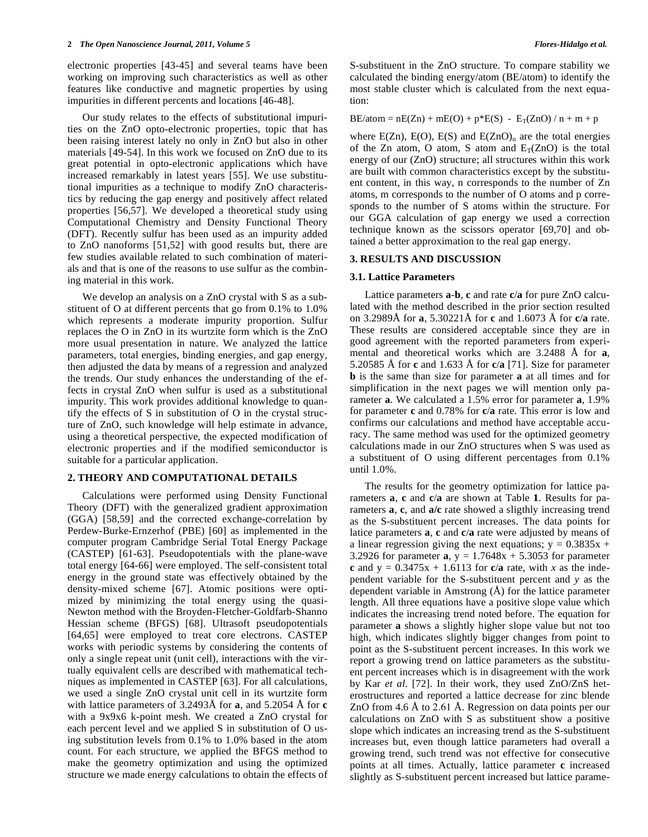electronic properties [43-45] and several teams have been working on improving such characteristics as well as other features like conductive and magnetic properties by using impurities in different percents and locations [46-48].

Our study relates to the effects of substitutional impurities on the ZnO opto-electronic properties, topic that has been raising interest lately no only in ZnO but also in other materials [49-54]. In this work we focused on ZnO due to its great potential in opto-electronic applications which have increased remarkably in latest years [55]. We use substitutional impurities as a technique to modify ZnO characteristics by reducing the gap energy and positively affect related properties [56,57]. We developed a theoretical study using Computational Chemistry and Density Functional Theory (DFT). Recently sulfur has been used as an impurity added to ZnO nanoforms [51,52] with good results but, there are few studies available related to such combination of materials and that is one of the reasons to use sulfur as the combining material in this work.

We develop an analysis on a ZnO crystal with S as a substituent of O at different percents that go from 0.1% to 1.0% which represents a moderate impurity proportion. Sulfur replaces the O in ZnO in its wurtzite form which is the ZnO more usual presentation in nature. We analyzed the lattice parameters, total energies, binding energies, and gap energy, then adjusted the data by means of a regression and analyzed the trends. Our study enhances the understanding of the effects in crystal ZnO when sulfur is used as a substitutional impurity. This work provides additional knowledge to quantify the effects of S in substitution of O in the crystal structure of ZnO, such knowledge will help estimate in advance, using a theoretical perspective, the expected modification of electronic properties and if the modified semiconductor is suitable for a particular application.

## **2. THEORY AND COMPUTATIONAL DETAILS**

Calculations were performed using Density Functional Theory (DFT) with the generalized gradient approximation (GGA) [58,59] and the corrected exchange-correlation by Perdew-Burke-Ernzerhof (PBE) [60] as implemented in the computer program Cambridge Serial Total Energy Package (CASTEP) [61-63]. Pseudopotentials with the plane-wave total energy [64-66] were employed. The self-consistent total energy in the ground state was effectively obtained by the density-mixed scheme [67]. Atomic positions were optimized by minimizing the total energy using the quasi-Newton method with the Broyden-Fletcher-Goldfarb-Shanno Hessian scheme (BFGS) [68]. Ultrasoft pseudopotentials [64,65] were employed to treat core electrons. CASTEP works with periodic systems by considering the contents of only a single repeat unit (unit cell), interactions with the virtually equivalent cells are described with mathematical techniques as implemented in CASTEP [63]. For all calculations, we used a single ZnO crystal unit cell in its wurtzite form with lattice parameters of 3.2493Å for **a**, and 5.2054 Å for **c** with a 9x9x6 k-point mesh. We created a ZnO crystal for each percent level and we applied S in substitution of O using substitution levels from 0.1% to 1.0% based in the atom count. For each structure, we applied the BFGS method to make the geometry optimization and using the optimized structure we made energy calculations to obtain the effects of

S-substituent in the ZnO structure. To compare stability we calculated the binding energy/atom (BE/atom) to identify the most stable cluster which is calculated from the next equation:

 $BE/atom = nE(Zn) + mE(O) + p*E(S) - E_T(ZnO) / n + m + p$ 

where  $E(Zn)$ ,  $E(O)$ ,  $E(S)$  and  $E(ZnO)$ <sub>n</sub> are the total energies of the Zn atom, O atom, S atom and  $E_T(ZnO)$  is the total energy of our (ZnO) structure; all structures within this work are built with common characteristics except by the substituent content, in this way, n corresponds to the number of Zn atoms, m corresponds to the number of O atoms and p corresponds to the number of S atoms within the structure. For our GGA calculation of gap energy we used a correction technique known as the scissors operator [69,70] and obtained a better approximation to the real gap energy.

### **3. RESULTS AND DISCUSSION**

## **3.1. Lattice Parameters**

Lattice parameters **a**-**b**, **c** and rate **c**/**a** for pure ZnO calculated with the method described in the prior section resulted on 3.2989Å for **a**, 5.30221Å for **c** and 1.6073 Å for **c**/**a** rate. These results are considered acceptable since they are in good agreement with the reported parameters from experimental and theoretical works which are 3.2488 Å for **a**, 5.20585 Å for **c** and 1.633 Å for **c**/**a** [71]. Size for parameter **b** is the same than size for parameter **a** at all times and for simplification in the next pages we will mention only parameter **a**. We calculated a 1.5% error for parameter **a**, 1.9% for parameter **c** and 0.78% for **c**/**a** rate. This error is low and confirms our calculations and method have acceptable accuracy. The same method was used for the optimized geometry calculations made in our ZnO structures when S was used as a substituent of O using different percentages from 0.1% until 1.0%.

The results for the geometry optimization for lattice parameters **a**, **c** and **c**/**a** are shown at Table **1**. Results for parameters **a**, **c**, and **a/c** rate showed a sligthly increasing trend as the S-substituent percent increases. The data points for latice parameters **a**, **c** and **c**/**a** rate were adjusted by means of a linear regression giving the next equations;  $y = 0.3835x +$ 3.2926 for parameter  $a$ ,  $y = 1.7648x + 5.3053$  for parameter **c** and  $y = 0.3475x + 1.6113$  for **c**/**a** rate, with *x* as the independent variable for the S-substituent percent and *y* as the dependent variable in Amstrong (Å) for the lattice parameter length. All three equations have a positive slope value which indicates the increasing trend noted before. The equation for parameter **a** shows a slightly higher slope value but not too high, which indicates slightly bigger changes from point to point as the S-substituent percent increases. In this work we report a growing trend on lattice parameters as the substituent percent increases which is in disagreement with the work by Kar *et al.* [72]. In their work, they used ZnO/ZnS heterostructures and reported a lattice decrease for zinc blende ZnO from 4.6 Å to 2.61 Å. Regression on data points per our calculations on ZnO with S as substituent show a positive slope which indicates an increasing trend as the S-substituent increases but, even though lattice parameters had overall a growing trend, such trend was not effective for consecutive points at all times. Actually, lattice parameter **c** increased slightly as S-substituent percent increased but lattice parame-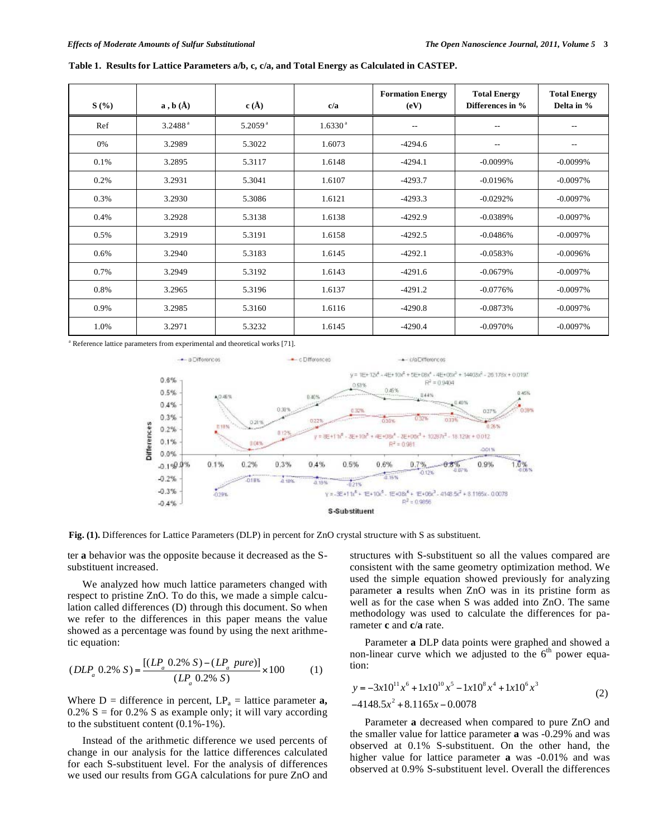| S(%)    | $\mathbf{a}$ , $\mathbf{b}$ $(\mathbf{A})$ | c(A)                  | c/a                 | <b>Formation Energy</b><br>(eV) | <b>Total Energy</b><br>Differences in % | <b>Total Energy</b><br>Delta in % |  |
|---------|--------------------------------------------|-----------------------|---------------------|---------------------------------|-----------------------------------------|-----------------------------------|--|
| Ref     | 3.2488 <sup>a</sup>                        | $5.2059$ <sup>a</sup> | 1.6330 <sup>a</sup> | $-$                             | $- -$                                   |                                   |  |
| 0%      | 3.2989                                     | 5.3022                | 1.6073              | $-4294.6$                       | $- -$                                   | $-1$                              |  |
| 0.1%    | 3.2895                                     | 5.3117                | 1.6148              | $-4294.1$                       | $-0.0099%$                              | $-0.0099%$                        |  |
| 0.2%    | 3.2931                                     | 5.3041                | 1.6107              | $-4293.7$                       | $-0.0196\%$                             | $-0.0097%$                        |  |
| 0.3%    | 3.2930                                     | 5.3086                | 1.6121              | $-4293.3$                       | $-0.0292%$                              | $-0.0097%$                        |  |
| 0.4%    | 3.2928                                     | 5.3138                | 1.6138              | $-4292.9$                       | $-0.0389%$                              | $-0.0097%$                        |  |
| 0.5%    | 3.2919                                     | 5.3191                | 1.6158              | $-4292.5$                       | $-0.0486%$                              | $-0.0097%$                        |  |
| $0.6\%$ | 3.2940                                     | 5.3183                | 1.6145              | $-4292.1$                       | $-0.0583%$                              | $-0.0096%$                        |  |
| 0.7%    | 3.2949                                     | 5.3192                | 1.6143              | $-4291.6$                       | $-0.0679%$                              | $-0.0097%$                        |  |
| 0.8%    | 3.2965                                     | 5.3196                | 1.6137              | $-4291.2$                       | $-0.0776%$                              | $-0.0097%$                        |  |
| 0.9%    | 3.2985                                     | 5.3160                | 1.6116              | $-4290.8$                       | $-0.0873%$                              | $-0.0097%$                        |  |
| 1.0%    | 3.2971                                     | 5.3232                | 1.6145              | $-4290.4$                       | $-0.0970%$                              | $-0.0097%$                        |  |

<sup>a</sup> Reference lattice parameters from experimental and theoretical works [71].



**Fig. (1).** Differences for Lattice Parameters (DLP) in percent for ZnO crystal structure with S as substituent.

ter **a** behavior was the opposite because it decreased as the Ssubstituent increased.

We analyzed how much lattice parameters changed with respect to pristine ZnO. To do this, we made a simple calculation called differences (D) through this document. So when we refer to the differences in this paper means the value showed as a percentage was found by using the next arithmetic equation:

$$
(DLP_a 0.2\% S) = \frac{[(LP_a 0.2\% S) - (LP_a pure)]}{(LP_a 0.2\% S)} \times 100
$$
 (1)

Where  $D =$  difference in percent,  $LP_a =$  lattice parameter **a**, 0.2% S = for 0.2% S as example only; it will vary according to the substituent content (0.1%-1%).

Instead of the arithmetic difference we used percents of change in our analysis for the lattice differences calculated for each S-substituent level. For the analysis of differences we used our results from GGA calculations for pure ZnO and structures with S-substituent so all the values compared are consistent with the same geometry optimization method. We used the simple equation showed previously for analyzing parameter **a** results when ZnO was in its pristine form as well as for the case when S was added into ZnO. The same methodology was used to calculate the differences for parameter **c** and **c**/**a** rate.

Parameter **a** DLP data points were graphed and showed a non-linear curve which we adjusted to the  $6<sup>th</sup>$  power equation:

$$
y = -3x10^{11}x^6 + 1x10^{10}x^5 - 1x10^8x^4 + 1x10^6x^3
$$
  
-4148.5x<sup>2</sup> + 8.1165x - 0.0078 (2)

Parameter **a** decreased when compared to pure ZnO and the smaller value for lattice parameter **a** was -0.29% and was observed at 0.1% S-substituent. On the other hand, the higher value for lattice parameter **a** was -0.01% and was observed at 0.9% S-substituent level. Overall the differences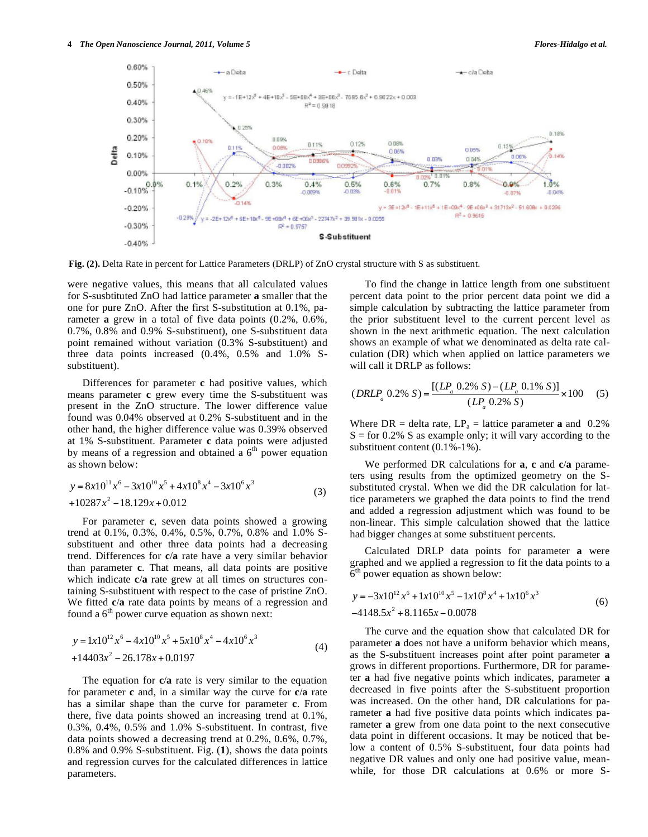

**Fig. (2).** Delta Rate in percent for Lattice Parameters (DRLP) of ZnO crystal structure with S as substituent.

were negative values, this means that all calculated values for S-susbtituted ZnO had lattice parameter **a** smaller that the one for pure ZnO. After the first S-substitution at 0.1%, parameter **a** grew in a total of five data points (0.2%, 0.6%, 0.7%, 0.8% and 0.9% S-substituent), one S-substituent data point remained without variation (0.3% S-substituent) and three data points increased (0.4%, 0.5% and 1.0% Ssubstituent).

Differences for parameter **c** had positive values, which means parameter **c** grew every time the S-substituent was present in the ZnO structure. The lower difference value found was 0.04% observed at 0.2% S-substituent and in the other hand, the higher difference value was 0.39% observed at 1% S-substituent. Parameter **c** data points were adjusted by means of a regression and obtained a  $6<sup>th</sup>$  power equation as shown below:

$$
y = 8x10^{11}x^6 - 3x10^{10}x^5 + 4x10^8x^4 - 3x10^6x^3
$$
  
+10287x<sup>2</sup> - 18.129x + 0.012 (3)

For parameter **c**, seven data points showed a growing trend at 0.1%, 0.3%, 0.4%, 0.5%, 0.7%, 0.8% and 1.0% Ssubstituent and other three data points had a decreasing trend. Differences for **c**/**a** rate have a very similar behavior than parameter **c**. That means, all data points are positive which indicate **c**/**a** rate grew at all times on structures containing S-substituent with respect to the case of pristine ZnO. We fitted **c**/**a** rate data points by means of a regression and found a  $6<sup>th</sup>$  power curve equation as shown next:

$$
y = 1x10^{12}x^6 - 4x10^{10}x^5 + 5x10^8x^4 - 4x10^6x^3
$$
  
+14403x<sup>2</sup> - 26.178x + 0.0197 (4)

The equation for **c**/**a** rate is very similar to the equation for parameter **c** and, in a similar way the curve for **c**/**a** rate has a similar shape than the curve for parameter **c**. From there, five data points showed an increasing trend at 0.1%, 0.3%, 0.4%, 0.5% and 1.0% S-substituent. In contrast, five data points showed a decreasing trend at 0.2%, 0.6%, 0.7%, 0.8% and 0.9% S-substituent. Fig. (**1**), shows the data points and regression curves for the calculated differences in lattice parameters.

To find the change in lattice length from one substituent percent data point to the prior percent data point we did a simple calculation by subtracting the lattice parameter from the prior substituent level to the current percent level as shown in the next arithmetic equation. The next calculation shows an example of what we denominated as delta rate calculation (DR) which when applied on lattice parameters we will call it DRLP as follows:

$$
(DRLP_a \t0.2\% S) = \frac{[(LP_a \t0.2\% S) - (LP_a \t0.1\% S)]}{(LP_a \t0.2\% S)} \times 100
$$
 (5)

Where  $DR = delta$  rate,  $LP_a = lattice$  parameter **a** and 0.2%  $S =$  for 0.2% S as example only; it will vary according to the substituent content (0.1%-1%).

We performed DR calculations for **a**, **c** and **c**/**a** parameters using results from the optimized geometry on the Ssubstituted crystal. When we did the DR calculation for lattice parameters we graphed the data points to find the trend and added a regression adjustment which was found to be non-linear. This simple calculation showed that the lattice had bigger changes at some substituent percents.

Calculated DRLP data points for parameter **a** were graphed and we applied a regression to fit the data points to a 6<sup>th</sup> power equation as shown below:

$$
y = -3x10^{12}x^6 + 1x10^{10}x^5 - 1x10^8x^4 + 1x10^6x^3
$$
  
-4148.5x<sup>2</sup> + 8.1165x - 0.0078 (6)

The curve and the equation show that calculated DR for parameter **a** does not have a uniform behavior which means, as the S-substituent increases point after point parameter **a** grows in different proportions. Furthermore, DR for parameter **a** had five negative points which indicates, parameter **a** decreased in five points after the S-substituent proportion was increased. On the other hand, DR calculations for parameter **a** had five positive data points which indicates parameter **a** grew from one data point to the next consecutive data point in different occasions. It may be noticed that below a content of 0.5% S-substituent, four data points had negative DR values and only one had positive value, meanwhile, for those DR calculations at 0.6% or more S-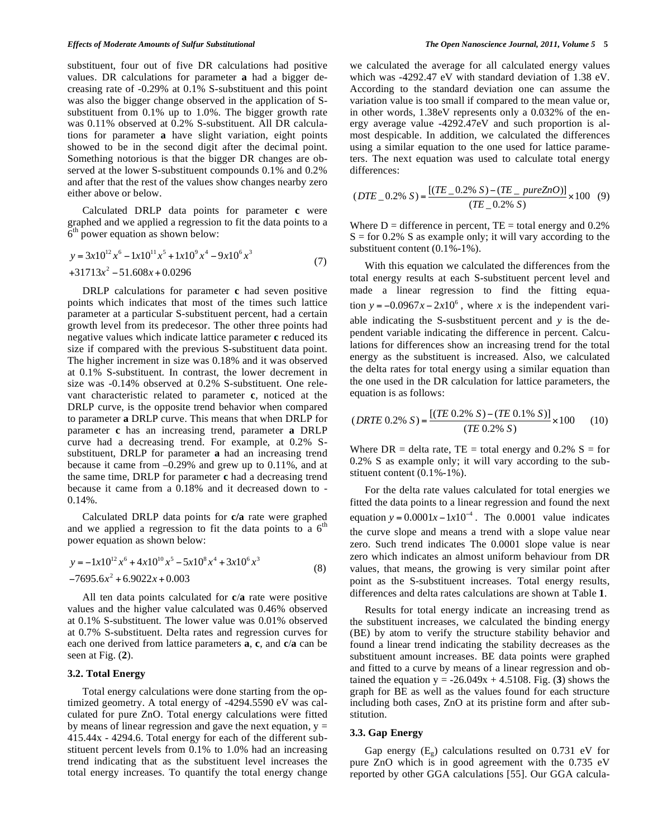### *Effects of Moderate Amounts of Sulfur Substitutional The Open Nanoscience Journal, 2011, Volume 5* **5**

substituent, four out of five DR calculations had positive values. DR calculations for parameter **a** had a bigger decreasing rate of -0.29% at 0.1% S-substituent and this point was also the bigger change observed in the application of Ssubstituent from 0.1% up to 1.0%. The bigger growth rate was 0.11% observed at 0.2% S-substituent. All DR calculations for parameter **a** have slight variation, eight points showed to be in the second digit after the decimal point. Something notorious is that the bigger DR changes are observed at the lower S-substituent compounds 0.1% and 0.2% and after that the rest of the values show changes nearby zero either above or below.

Calculated DRLP data points for parameter **c** were graphed and we applied a regression to fit the data points to a  $6<sup>th</sup>$  power equation as shown below:

$$
y = 3x10^{12}x^6 - 1x10^{11}x^5 + 1x10^9x^4 - 9x10^6x^3
$$
  
+31713x<sup>2</sup> - 51.608x + 0.0296 (7)

DRLP calculations for parameter **c** had seven positive points which indicates that most of the times such lattice parameter at a particular S-substituent percent, had a certain growth level from its predecesor. The other three points had negative values which indicate lattice parameter **c** reduced its size if compared with the previous S-substituent data point. The higher increment in size was 0.18% and it was observed at 0.1% S-substituent. In contrast, the lower decrement in size was -0.14% observed at 0.2% S-substituent. One relevant characteristic related to parameter **c**, noticed at the DRLP curve, is the opposite trend behavior when compared to parameter **a** DRLP curve. This means that when DRLP for parameter **c** has an increasing trend, parameter **a** DRLP curve had a decreasing trend. For example, at 0.2% Ssubstituent, DRLP for parameter **a** had an increasing trend because it came from –0.29% and grew up to 0.11%, and at the same time, DRLP for parameter **c** had a decreasing trend because it came from a 0.18% and it decreased down to - 0.14%.

Calculated DRLP data points for **c/a** rate were graphed and we applied a regression to fit the data points to a  $6<sup>th</sup>$ power equation as shown below:

$$
y = -1x10^{12}x^6 + 4x10^{10}x^5 - 5x10^8x^4 + 3x10^6x^3
$$
  
-7695.6x<sup>2</sup> + 6.9022x + 0.003 (8)

All ten data points calculated for **c**/**a** rate were positive values and the higher value calculated was 0.46% observed at 0.1% S-substituent. The lower value was 0.01% observed at 0.7% S-substituent. Delta rates and regression curves for each one derived from lattice parameters **a**, **c**, and **c**/**a** can be seen at Fig. (**2**).

## **3.2. Total Energy**

Total energy calculations were done starting from the optimized geometry. A total energy of -4294.5590 eV was calculated for pure ZnO. Total energy calculations were fitted by means of linear regression and gave the next equation,  $y =$ 415.44x - 4294.6. Total energy for each of the different substituent percent levels from 0.1% to 1.0% had an increasing trend indicating that as the substituent level increases the total energy increases. To quantify the total energy change we calculated the average for all calculated energy values which was -4292.47 eV with standard deviation of 1.38 eV. According to the standard deviation one can assume the variation value is too small if compared to the mean value or, in other words, 1.38eV represents only a 0.032% of the energy average value -4292.47eV and such proportion is almost despicable. In addition, we calculated the differences using a similar equation to the one used for lattice parameters. The next equation was used to calculate total energy differences:

$$
(DTE\_0.2\% S) = \frac{[(TE\_0.2\% S) - (TE\_pureZnO)]}{(TE\_0.2\% S)} \times 100
$$
 (9)

Where  $D =$  difference in percent,  $TE =$  total energy and 0.2%  $S =$  for 0.2% S as example only; it will vary according to the substituent content (0.1%-1%).

With this equation we calculated the differences from the total energy results at each S-substituent percent level and made a linear regression to find the fitting equation  $y = -0.0967x - 2x10^6$ , where *x* is the independent variable indicating the S-susbstituent percent and *y* is the dependent variable indicating the difference in percent. Calculations for differences show an increasing trend for the total energy as the substituent is increased. Also, we calculated the delta rates for total energy using a similar equation than the one used in the DR calculation for lattice parameters, the equation is as follows:

$$
(DRTE\ 0.2\% \ S) = \frac{[(TE\ 0.2\% \ S) - (TE\ 0.1\% \ S)]}{(TE\ 0.2\% \ S)} \times 100 \tag{10}
$$

Where  $DR = delta$  rate,  $TE = total$  energy and 0.2%  $S = for$ 0.2% S as example only; it will vary according to the substituent content (0.1%-1%).

For the delta rate values calculated for total energies we fitted the data points to a linear regression and found the next equation  $y = 0.0001x - 1x10^{-4}$ . The 0.0001 value indicates the curve slope and means a trend with a slope value near zero. Such trend indicates The 0.0001 slope value is near zero which indicates an almost uniform behaviour from DR values, that means, the growing is very similar point after point as the S-substituent increases. Total energy results, differences and delta rates calculations are shown at Table **1**.

Results for total energy indicate an increasing trend as the substituent increases, we calculated the binding energy (BE) by atom to verify the structure stability behavior and found a linear trend indicating the stability decreases as the substituent amount increases. BE data points were graphed and fitted to a curve by means of a linear regression and obtained the equation  $y = -26.049x + 4.5108$ . Fig. (3) shows the graph for BE as well as the values found for each structure including both cases, ZnO at its pristine form and after substitution.

#### **3.3. Gap Energy**

Gap energy  $(E_{\varphi})$  calculations resulted on 0.731 eV for pure ZnO which is in good agreement with the 0.735 eV reported by other GGA calculations [55]. Our GGA calcula-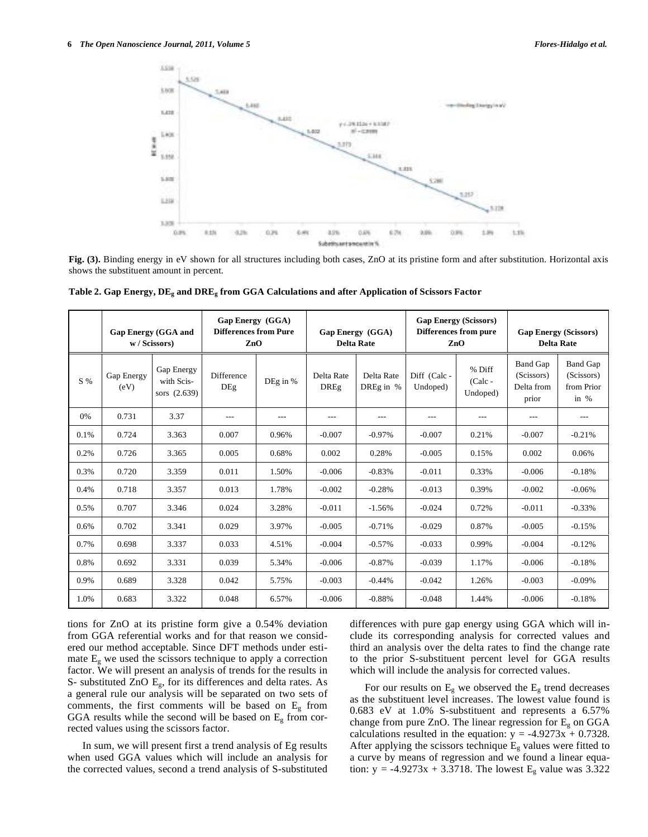

**Fig. (3).** Binding energy in eV shown for all structures including both cases, ZnO at its pristine form and after substitution. Horizontal axis shows the substituent amount in percent.

|       | <b>Gap Energy (GGA and</b><br>w / Scissors) |                                          | <b>Gap Energy</b> (GGA)<br><b>Differences from Pure</b><br>ZnO |            | Gap Energy (GGA)<br><b>Delta Rate</b> |                         | <b>Gap Energy (Scissors)</b><br><b>Differences from pure</b><br>ZnO |                                 | <b>Gap Energy (Scissors)</b><br><b>Delta Rate</b>    |                                                       |
|-------|---------------------------------------------|------------------------------------------|----------------------------------------------------------------|------------|---------------------------------------|-------------------------|---------------------------------------------------------------------|---------------------------------|------------------------------------------------------|-------------------------------------------------------|
| S %   | Gap Energy<br>(eV)                          | Gap Energy<br>with Scis-<br>sors (2.639) | <b>Difference</b><br>DEg                                       | DEg in $%$ | Delta Rate<br><b>DREg</b>             | Delta Rate<br>DREg in % | Diff (Calc-<br>Undoped)                                             | % Diff<br>$(Calc -$<br>Undoped) | <b>Band Gap</b><br>(Scissors)<br>Delta from<br>prior | <b>Band Gap</b><br>(Scissors)<br>from Prior<br>in $%$ |
| $0\%$ | 0.731                                       | 3.37                                     | $---$                                                          | $---$      | $---$                                 | $---$                   | $---$                                                               | $---$                           | $---$                                                | $---$                                                 |
| 0.1%  | 0.724                                       | 3.363                                    | 0.007                                                          | 0.96%      | $-0.007$                              | $-0.97\%$               | $-0.007$                                                            | 0.21%                           | $-0.007$                                             | $-0.21%$                                              |
| 0.2%  | 0.726                                       | 3.365                                    | 0.005                                                          | 0.68%      | 0.002                                 | 0.28%                   | $-0.005$                                                            | 0.15%                           | 0.002                                                | 0.06%                                                 |
| 0.3%  | 0.720                                       | 3.359                                    | 0.011                                                          | 1.50%      | $-0.006$                              | $-0.83%$                | $-0.011$                                                            | 0.33%                           | $-0.006$                                             | $-0.18%$                                              |
| 0.4%  | 0.718                                       | 3.357                                    | 0.013                                                          | 1.78%      | $-0.002$                              | $-0.28%$                | $-0.013$                                                            | 0.39%                           | $-0.002$                                             | $-0.06%$                                              |
| 0.5%  | 0.707                                       | 3.346                                    | 0.024                                                          | 3.28%      | $-0.011$                              | $-1.56%$                | $-0.024$                                                            | 0.72%                           | $-0.011$                                             | $-0.33%$                                              |
| 0.6%  | 0.702                                       | 3.341                                    | 0.029                                                          | 3.97%      | $-0.005$                              | $-0.71%$                | $-0.029$                                                            | 0.87%                           | $-0.005$                                             | $-0.15%$                                              |
| 0.7%  | 0.698                                       | 3.337                                    | 0.033                                                          | 4.51%      | $-0.004$                              | $-0.57%$                | $-0.033$                                                            | 0.99%                           | $-0.004$                                             | $-0.12%$                                              |
| 0.8%  | 0.692                                       | 3.331                                    | 0.039                                                          | 5.34%      | $-0.006$                              | $-0.87%$                | $-0.039$                                                            | 1.17%                           | $-0.006$                                             | $-0.18%$                                              |
| 0.9%  | 0.689                                       | 3.328                                    | 0.042                                                          | 5.75%      | $-0.003$                              | $-0.44%$                | $-0.042$                                                            | 1.26%                           | $-0.003$                                             | $-0.09\%$                                             |
| 1.0%  | 0.683                                       | 3.322                                    | 0.048                                                          | 6.57%      | $-0.006$                              | $-0.88%$                | $-0.048$                                                            | 1.44%                           | $-0.006$                                             | $-0.18%$                                              |

**Table 2. Gap Energy, DEg and DREg from GGA Calculations and after Application of Scissors Factor** 

tions for ZnO at its pristine form give a 0.54% deviation from GGA referential works and for that reason we considered our method acceptable. Since DFT methods under estimate  $E_g$  we used the scissors technique to apply a correction factor. We will present an analysis of trends for the results in S- substituted ZnO  $E_g$ , for its differences and delta rates. As a general rule our analysis will be separated on two sets of comments, the first comments will be based on  $E<sub>g</sub>$  from GGA results while the second will be based on  $E<sub>g</sub>$  from corrected values using the scissors factor.

In sum, we will present first a trend analysis of Eg results when used GGA values which will include an analysis for the corrected values, second a trend analysis of S-substituted differences with pure gap energy using GGA which will include its corresponding analysis for corrected values and third an analysis over the delta rates to find the change rate to the prior S-substituent percent level for GGA results which will include the analysis for corrected values.

For our results on  $E_g$  we observed the  $E_g$  trend decreases as the substituent level increases. The lowest value found is 0.683 eV at 1.0% S-substituent and represents a 6.57% change from pure ZnO. The linear regression for  $E<sub>g</sub>$  on GGA calculations resulted in the equation:  $y = -4.9273x + 0.7328$ . After applying the scissors technique  $E<sub>g</sub>$  values were fitted to a curve by means of regression and we found a linear equation:  $y = -4.9273x + 3.3718$ . The lowest E<sub>g</sub> value was 3.322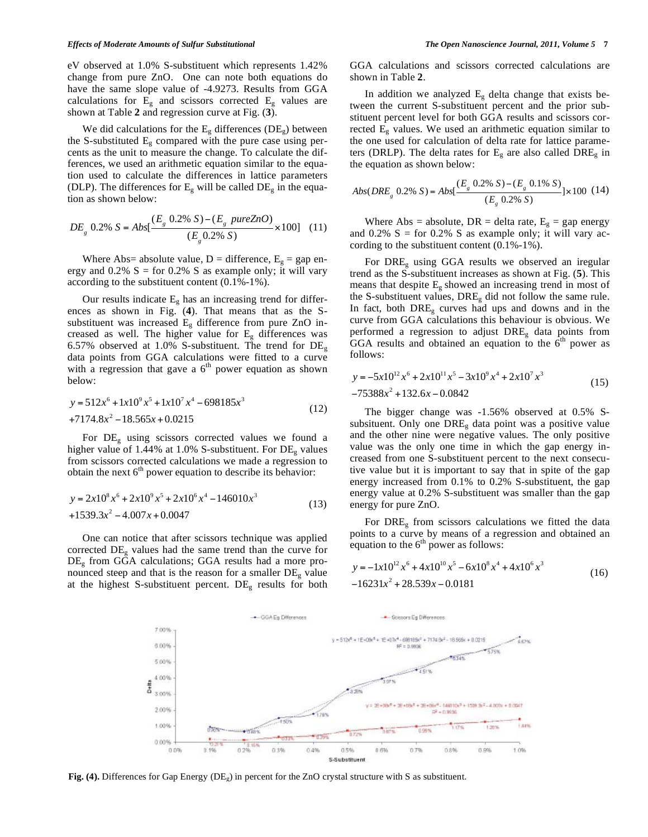eV observed at 1.0% S-substituent which represents 1.42% change from pure ZnO. One can note both equations do have the same slope value of -4.9273. Results from GGA calculations for  $E<sub>g</sub>$  and scissors corrected  $E<sub>g</sub>$  values are shown at Table **2** and regression curve at Fig. (**3**).

We did calculations for the  $E_g$  differences (DE<sub>g</sub>) between the S-substituted  $E_g$  compared with the pure case using percents as the unit to measure the change. To calculate the differences, we used an arithmetic equation similar to the equation used to calculate the differences in lattice parameters (DLP). The differences for  $E<sub>g</sub>$  will be called  $DE<sub>g</sub>$  in the equation as shown below:

$$
DE_{g} 0.2\% S = Abs[\frac{(E_{g} 0.2\% S) - (E_{g} pureZnO)}{(E_{g} 0.2\% S)} \times 100] (11)
$$

Where Abs= absolute value,  $D =$  difference,  $E_g =$  gap energy and  $0.2\%$  S = for 0.2% S as example only; it will vary according to the substituent content (0.1%-1%).

Our results indicate  $E<sub>g</sub>$  has an increasing trend for differences as shown in Fig. (**4**). That means that as the Ssubstituent was increased  $E_g$  difference from pure ZnO increased as well. The higher value for  $E<sub>g</sub>$  differences was 6.57% observed at 1.0% S-substituent. The trend for  $DE_{g}$ data points from GGA calculations were fitted to a curve with a regression that gave a  $6<sup>th</sup>$  power equation as shown below:

$$
y = 512x^{6} + 1x10^{9}x^{5} + 1x10^{7}x^{4} - 698185x^{3}
$$
  
+7174.8x<sup>2</sup> - 18.565x + 0.0215 (12)

For DEg using scissors corrected values we found a higher value of 1.44% at 1.0% S-substituent. For  $DE_{g}$  values from scissors corrected calculations we made a regression to obtain the next  $6<sup>th</sup>$  power equation to describe its behavior:

$$
y = 2x108x6 + 2x109x5 + 2x106x4 - 146010x3
$$
  
+1539.3x<sup>2</sup> - 4.007x + 0.0047 (13)

One can notice that after scissors technique was applied corrected  $DE_{g}$  values had the same trend than the curve for DEg from GGA calculations; GGA results had a more pronounced steep and that is the reason for a smaller  $DE<sub>g</sub>$  value at the highest S-substituent percent. DEg results for both

GGA calculations and scissors corrected calculations are shown in Table **2**.

In addition we analyzed  $E<sub>g</sub>$  delta change that exists between the current S-substituent percent and the prior substituent percent level for both GGA results and scissors corrected  $E_g$  values. We used an arithmetic equation similar to the one used for calculation of delta rate for lattice parameters (DRLP). The delta rates for  $E<sub>g</sub>$  are also called DRE<sub>g</sub> in the equation as shown below:

$$
Abs(DREg 0.2% S) = Abs[\frac{(Eg 0.2% S) - (Eg 0.1% S)}{(Eg 0.2% S)}] \times 100 (14)
$$

Where Abs = absolute, DR = delta rate,  $E_g$  = gap energy and 0.2%  $S =$  for 0.2% S as example only; it will vary according to the substituent content (0.1%-1%).

For  $DRE_{g}$  using GGA results we observed an iregular trend as the S-substituent increases as shown at Fig. (**5**). This means that despite  $E_g$  showed an increasing trend in most of the S-substituent values,  $DRE<sub>g</sub>$  did not follow the same rule. In fact, both  $DRE<sub>g</sub>$  curves had ups and downs and in the curve from GGA calculations this behaviour is obvious. We performed a regression to adjust DREg data points from GGA results and obtained an equation to the  $6<sup>th</sup>$  power as follows:

$$
y = -5x10^{12}x^6 + 2x10^{11}x^5 - 3x10^9x^4 + 2x10^7x^3
$$
  
-75388x<sup>2</sup> + 132.6x - 0.0842 (15)

The bigger change was -1.56% observed at 0.5% Ssubsituent. Only one  $DRE<sub>g</sub>$  data point was a positive value and the other nine were negative values. The only positive value was the only one time in which the gap energy increased from one S-substituent percent to the next consecutive value but it is important to say that in spite of the gap energy increased from 0.1% to 0.2% S-substituent, the gap energy value at 0.2% S-substituent was smaller than the gap energy for pure ZnO.

For  $DRE<sub>g</sub>$  from scissors calculations we fitted the data points to a curve by means of a regression and obtained an equation to the  $6<sup>th</sup>$  power as follows:

$$
y = -1x10^{12}x^6 + 4x10^{10}x^5 - 6x10^8x^4 + 4x10^6x^3
$$
  
-16231x<sup>2</sup> + 28.539x - 0.0181 (16)



**Fig. (4).** Differences for Gap Energy (DEg) in percent for the ZnO crystal structure with S as substituent.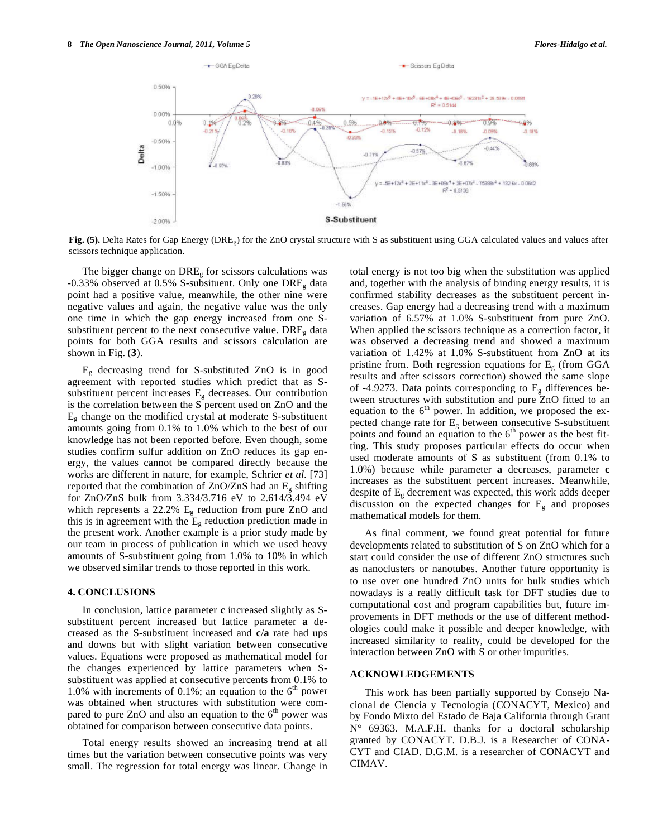

**Fig. (5).** Delta Rates for Gap Energy (DREg) for the ZnO crystal structure with S as substituent using GGA calculated values and values after scissors technique application.

The bigger change on  $DRE<sub>g</sub>$  for scissors calculations was  $-0.33\%$  observed at 0.5% S-subsituent. Only one DRE<sub>g</sub> data point had a positive value, meanwhile, the other nine were negative values and again, the negative value was the only one time in which the gap energy increased from one Ssubstituent percent to the next consecutive value.  $DRE<sub>g</sub>$  data points for both GGA results and scissors calculation are shown in Fig. (**3**).

 $E_g$  decreasing trend for S-substituted ZnO is in good agreement with reported studies which predict that as Ssubstituent percent increases  $E<sub>g</sub>$  decreases. Our contribution is the correlation between the S percent used on ZnO and the  $E<sub>g</sub>$  change on the modified crystal at moderate S-substituent amounts going from 0.1% to 1.0% which to the best of our knowledge has not been reported before. Even though, some studies confirm sulfur addition on ZnO reduces its gap energy, the values cannot be compared directly because the works are different in nature, for example, Schrier *et al.* [73] reported that the combination of  $ZnO/ZnS$  had an  $E_g$  shifting for ZnO/ZnS bulk from 3.334/3.716 eV to 2.614/3.494 eV which represents a 22.2%  $E_g$  reduction from pure ZnO and this is in agreement with the  $E<sub>g</sub>$  reduction prediction made in the present work. Another example is a prior study made by our team in process of publication in which we used heavy amounts of S-substituent going from 1.0% to 10% in which we observed similar trends to those reported in this work.

## **4. CONCLUSIONS**

In conclusion, lattice parameter **c** increased slightly as Ssubstituent percent increased but lattice parameter **a** decreased as the S-substituent increased and **c**/**a** rate had ups and downs but with slight variation between consecutive values. Equations were proposed as mathematical model for the changes experienced by lattice parameters when Ssubstituent was applied at consecutive percents from 0.1% to 1.0% with increments of 0.1%; an equation to the  $6<sup>th</sup>$  power was obtained when structures with substitution were compared to pure  $ZnO$  and also an equation to the  $6<sup>th</sup>$  power was obtained for comparison between consecutive data points.

Total energy results showed an increasing trend at all times but the variation between consecutive points was very small. The regression for total energy was linear. Change in

total energy is not too big when the substitution was applied and, together with the analysis of binding energy results, it is confirmed stability decreases as the substituent percent increases. Gap energy had a decreasing trend with a maximum variation of 6.57% at 1.0% S-substituent from pure ZnO. When applied the scissors technique as a correction factor, it was observed a decreasing trend and showed a maximum variation of 1.42% at 1.0% S-substituent from ZnO at its pristine from. Both regression equations for  $E<sub>g</sub>$  (from GGA results and after scissors correction) showed the same slope of -4.9273. Data points corresponding to  $E<sub>g</sub>$  differences between structures with substitution and pure ZnO fitted to an equation to the  $6<sup>th</sup>$  power. In addition, we proposed the expected change rate for  $E_g$  between consecutive S-substituent points and found an equation to the  $6<sup>th</sup>$  power as the best fitting. This study proposes particular effects do occur when used moderate amounts of S as substituent (from 0.1% to 1.0%) because while parameter **a** decreases, parameter **c**  increases as the substituent percent increases. Meanwhile, despite of  $E<sub>g</sub>$  decrement was expected, this work adds deeper discussion on the expected changes for  $E<sub>g</sub>$  and proposes mathematical models for them.

As final comment, we found great potential for future developments related to substitution of S on ZnO which for a start could consider the use of different ZnO structures such as nanoclusters or nanotubes. Another future opportunity is to use over one hundred ZnO units for bulk studies which nowadays is a really difficult task for DFT studies due to computational cost and program capabilities but, future improvements in DFT methods or the use of different methodologies could make it possible and deeper knowledge, with increased similarity to reality, could be developed for the interaction between ZnO with S or other impurities.

## **ACKNOWLEDGEMENTS**

This work has been partially supported by Consejo Nacional de Ciencia y Tecnología (CONACYT, Mexico) and by Fondo Mixto del Estado de Baja California through Grant N° 69363. M.A.F.H. thanks for a doctoral scholarship granted by CONACYT. D.B.J. is a Researcher of CONA-CYT and CIAD. D.G.M. is a researcher of CONACYT and CIMAV.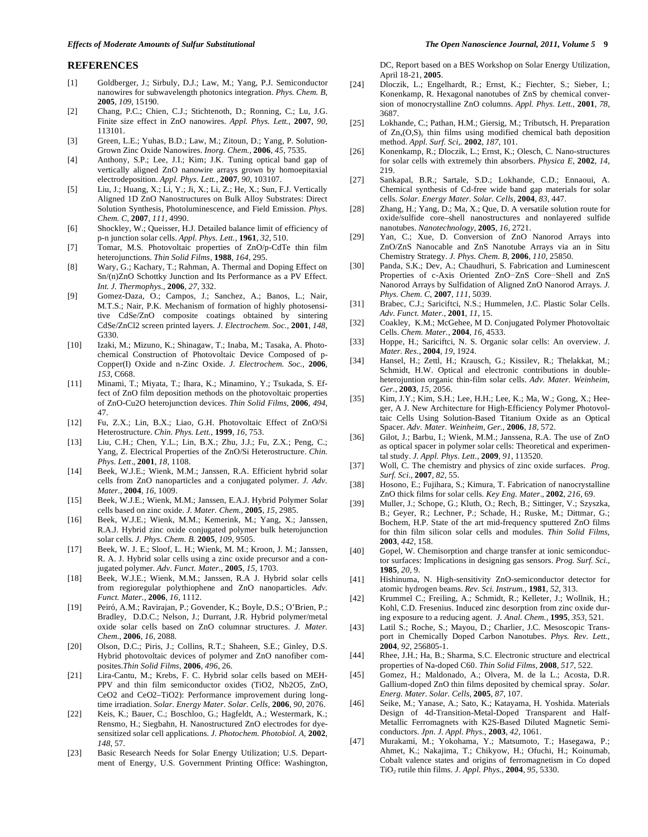#### **REFERENCES**

- [1] Goldberger, J.; Sirbuly, D.J.; Law, M.; Yang, P.J. Semiconductor nanowires for subwavelength photonics integration. *Phys. Chem. B,*  **2005**, *109*, 15190.
- [2] Chang, P.C.; Chien, C.J.; Stichtenoth, D.; Ronning, C.; Lu, J.G. Finite size effect in ZnO nanowires. *Appl. Phys. Lett.,* **2007**, *90*, 113101.
- [3] Green, L.E.; Yuhas, B.D.; Law, M.; Zitoun, D.; Yang, P. Solution-Grown Zinc Oxide Nanowires. *Inorg. Chem.,* **2006**, *45*, 7535.
- [4] Anthony, S.P.; Lee, J.I.; Kim; J.K. Tuning optical band gap of vertically aligned ZnO nanowire arrays grown by homoepitaxial electrodeposition. *Appl. Phys. Lett.,* **2007**, *90*, 103107.
- [5] Liu, J.; Huang, X.; Li, Y.; Ji, X.; Li, Z.; He, X.; Sun, F.J. Vertically Aligned 1D ZnO Nanostructures on Bulk Alloy Substrates: Direct Solution Synthesis, Photoluminescence, and Field Emission. *Phys. Chem. C,* **2007**, *111*, 4990.
- [6] Shockley, W.; Queisser, H.J. Detailed balance limit of efficiency of p-n junction solar cells. *Appl. Phys. Lett.,* **1961**, *32*, 510.
- [7] Tomar, M.S. Photovoltaic properties of ZnO/p-CdTe thin film heterojunctions. *Thin Solid Films,* **1988**, *164*, 295.
- [8] Wary, G.; Kachary, T.; Rahman, A. Thermal and Doping Effect on Sn/(n)ZnO Schottky Junction and Its Performance as a PV Effect. *Int. J. Thermophys.,* **2006**, *27*, 332.
- [9] Gomez-Daza, O.; Campos, J.; Sanchez, A.; Banos, L.; Nair, M.T.S.; Nair, P.K. Mechanism of formation of highly photosensitive CdSe/ZnO composite coatings obtained by sintering CdSe/ZnCl2 screen printed layers. *J. Electrochem. Soc.,* **2001**, *148*, G330.
- [10] Izaki, M.; Mizuno, K.; Shinagaw, T.; Inaba, M.; Tasaka, A. Photochemical Construction of Photovoltaic Device Composed of p-Copper(I) Oxide and n-Zinc Oxide. *J. Electrochem. Soc.*, **2006**, *153*, C668.
- [11] Minami, T.; Miyata, T.; Ihara, K.; Minamino, Y.; Tsukada, S. Effect of ZnO film deposition methods on the photovoltaic properties of ZnO-Cu2O heterojunction devices. *Thin Solid Films,* **2006**, *494*, 47.
- [12] Fu, Z.X.; Lin, B.X.; Liao, G.H. Photovoltaic Effect of ZnO/Si Heterostructure. *Chin. Phys. Lett.,* **1999**, *16*, 753.
- [13] Liu, C.H.; Chen, Y.L.; Lin, B.X.; Zhu, J.J.; Fu, Z.X.; Peng, C.; Yang, Z. Electrical Properties of the ZnO/Si Heterostructure. *Chin. Phys. Lett*., **2001**, *18*, 1108.
- [14] Beek, W.J.E.; Wienk, M.M.; Janssen, R.A. Efficient hybrid solar cells from ZnO nanoparticles and a conjugated polymer. *J. Adv. Mater.,* **2004**, *16*, 1009.
- [15] Beek, W.J.E.; Wienk, M.M.; Janssen, E.A.J. Hybrid Polymer Solar cells based on zinc oxide. *J. Mater. Chem.,* **2005**, *15*, 2985.
- [16] Beek, W.J.E.; Wienk, M.M.; Kemerink, M.; Yang, X.; Janssen, R.A.J. Hybrid zinc oxide conjugated polymer bulk heterojunction solar cells. *J. Phys. Chem. B.* **2005**, *109*, 9505.
- [17] Beek, W. J. E.; Sloof, L. H.; Wienk, M. M.; Kroon, J. M.; Janssen, R. A. J. Hybrid solar cells using a zinc oxide precursor and a conjugated polymer. *Adv. Funct. Mater.,* **2005**, *15*, 1703.
- [18] Beek, W.J.E.; Wienk, M.M.; Janssen, R.A J. Hybrid solar cells from regioregular polythiophene and ZnO nanoparticles. *Adv. Funct. Mater.,* **2006**, *16*, 1112.
- [19] Peiró, A.M.; Ravirajan, P.; Govender, K.; Boyle, D.S.; O'Brien, P.; Bradley, D.D.C.; Nelson, J.; Durrant, J.R. Hybrid polymer/metal oxide solar cells based on ZnO columnar structures. *J. Mater. Chem.,* **2006**, *16*, 2088.
- [20] Olson, D.C.; Piris, J.; Collins, R.T.; Shaheen, S.E.; Ginley, D.S. Hybrid photovoltaic devices of polymer and ZnO nanofiber composites.*Thin Solid Films,* **2006**, *496*, 26.
- [21] Lira-Cantu, M.; Krebs, F. C. Hybrid solar cells based on MEH-PPV and thin film semiconductor oxides (TiO2, Nb2O5, ZnO, CeO2 and CeO2–TiO2): Performance improvement during longtime irradiation. *Solar. Energy Mater. Solar. Cells,* **2006**, *90*, 2076.
- [22] Keis, K.; Bauer, C.; Boschloo, G.; Hagfeldt, A.; Westermark, K.; Rensmo, H.; Siegbahn, H. Nanostructured ZnO electrodes for dyesensitized solar cell applications. *J. Photochem. Photobiol. A,* **2002**, *148*, 57.
- [23] Basic Research Needs for Solar Energy Utilization; U.S. Department of Energy, U.S. Government Printing Office: Washington,

DC, Report based on a BES Workshop on Solar Energy Utilization, April 18-21, **2005**.

- [24] Dloczik, L.; Engelhardt, R.; Ernst, K.; Fiechter, S.; Sieber, I.; Konenkamp, R. Hexagonal nanotubes of ZnS by chemical conversion of monocrystalline ZnO columns. *Appl. Phys. Lett.,* **2001**, *78*, 3687.
- [25] Lokhande, C.; Pathan, H.M.; Giersig, M.; Tributsch, H. Preparation of  $Zn_x(O,S)_y$  thin films using modified chemical bath deposition method. *Appl. Surf. Sci,.* **2002**, *187*, 101.
- [26] Konenkamp, R.; Dloczik, L.; Ernst, K.; Olesch, C. Nano-structures for solar cells with extremely thin absorbers. *Physica E,* **2002**, *14*, 219.
- [27] Sankapal, B.R.; Sartale, S.D.; Lokhande, C.D.; Ennaoui, A. Chemical synthesis of Cd-free wide band gap materials for solar cells. *Solar. Energy Mater. Solar. Cells*, **2004**, *83*, 447.
- [28] Zhang, H.; Yang, D.; Ma, X.; Que, D. A versatile solution route for oxide/sulfide core–shell nanostructures and nonlayered sulfide nanotubes. *Nanotechnology,* **2005**, *16*, 2721.
- [29] Yan, C.; Xue, D. Conversion of ZnO Nanorod Arrays into ZnO/ZnS Nanocable and ZnS Nanotube Arrays via an in Situ Chemistry Strategy. *J. Phys. Chem. B,* **2006**, *110*, 25850.
- [30] Panda, S.K.; Dev, A.; Chaudhuri, S. Fabrication and Luminescent Properties of c-Axis Oriented ZnO-ZnS Core-Shell and ZnS Nanorod Arrays by Sulfidation of Aligned ZnO Nanorod Arrays. *J. Phys. Chem. C*, **2007**, *111*, 5039.
- [31] Brabec, C.J.; Sariciftci, N.S.; Hummelen, J.C. Plastic Solar Cells. *Adv. Funct. Mater.,* **2001**, *11*, 15.
- [32] Coakley, K.M.; McGehee, M D. Conjugated Polymer Photovoltaic Cells. *Chem. Mater.,* **2004**, *16*, 4533.
- [33] Hoppe, H.; Sariciftci, N. S. Organic solar cells: An overview. *J. Mater. Res.,* **2004**, *19*, 1924.
- [34] Hansel, H.; Zettl, H.; Krausch, G.; Kissilev, R.; Thelakkat, M.; Schmidt, H.W. Optical and electronic contributions in doubleheterojuntion organic thin-film solar cells. *Adv. Mater*. *Weinheim, Ger.,* **2003**, *15*, 2056.
- [35] Kim, J.Y.; Kim, S.H.; Lee, H.H.; Lee, K.; Ma, W.; Gong, X.; Heeger, A J. New Architecture for High-Efficiency Polymer Photovoltaic Cells Using Solution-Based Titanium Oxide as an Optical Spacer. *Adv. Mater. Weinheim, Ger.*, **2006**, *18*, 572.
- [36] Gilot, J.; Barbu, I.; Wienk, M.M.; Janssena, R.A. The use of ZnO as optical spacer in polymer solar cells: Theoretical and experimental study. *J. Appl. Phys. Lett*., **2009**, *91*, 113520.
- [37] Woll, C. The chemistry and physics of zinc oxide surfaces. *Prog. Surf. Sci*., **2007**, *82*, 55.
- [38] Hosono, E.; Fujihara, S.; Kimura, T. Fabrication of nanocrystalline ZnO thick films for solar cells. *Key Eng. Mater*., **2002**, *216*, 69.
- [39] Muller, J.; Schope, G.; Kluth, O.; Rech, B.; Sittinger, V.; Szyszka, B.; Geyer, R.; Lechner, P.; Schade, H.; Ruske, M.; Dittmar, G.; Bochem, H.P. State of the art mid-frequency sputtered ZnO films for thin film silicon solar cells and modules. *Thin Solid Films,* **2003**, *442*, 158.
- [40] Gopel, W. Chemisorption and charge transfer at ionic semiconductor surfaces: Implications in designing gas sensors. *Prog. Surf. Sci.,* **1985**, *20*, 9.
- [41] Hishinuma, N. High-sensitivity ZnO-semiconductor detector for atomic hydrogen beams. *Rev. Sci. Instrum.,* **1981**, *52*, 313.
- [42] Krummel C.; Freiling, A.; Schmidt, R.; Kelleter, J.; Wollnik, H.; Kohl, C.D. Fresenius. Induced zinc desorption from zinc oxide during exposure to a reducing agent. *J. Anal. Chem.,* **1995**, *353*, 521.
- [43] Latil S.; Roche, S.; Mayou, D.; Charlier, J.C. Mesoscopic Transport in Chemically Doped Carbon Nanotubes. *Phys. Rev. Lett.,* **2004**, *92*, 256805-1.
- [44] Rhee, J.H.; Ha, B.; Sharma, S.C. Electronic structure and electrical properties of Na-doped C60. *Thin Solid Films,* **2008**, *517*, 522.
- [45] Gomez, H.; Maldonado, A.; Olvera, M. de la L.; Acosta, D.R. Gallium-doped ZnO thin films deposited by chemical spray. *Solar. Energ. Mater. Solar. Cells*, **2005**, *87*, 107.
- [46] Seike, M.; Yanase, A.; Sato, K.; Katayama, H. Yoshida. Materials Design of 4d-Transition-Metal-Doped Transparent and Half-Metallic Ferromagnets with K2S-Based Diluted Magnetic Semiconductors. *Jpn. J. Appl. Phys.,* **2003**, *42*, 1061.
- [47] Murakami, M.; Yokohama, Y.; Matsumoto, T.; Hasegawa, P.; Ahmet, K.; Nakajima, T.; Chikyow, H.; Ofuchi, H.; Koinumab, Cobalt valence states and origins of ferromagnetism in Co doped TiO2 rutile thin films. *J. Appl. Phys.,* **2004**, *95*, 5330.